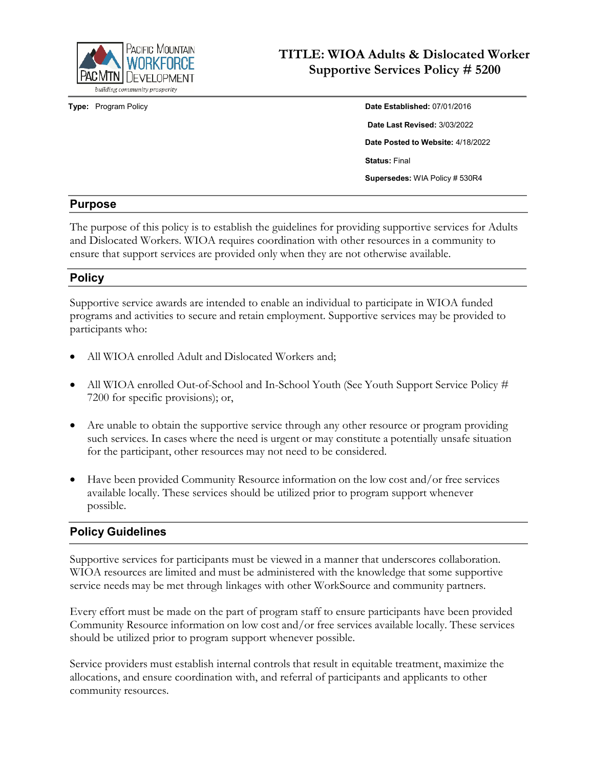

**Type:** Program Policy

| Date Established: 07/01/2016          |
|---------------------------------------|
| Date Last Revised: 3/03/2022          |
| Date Posted to Website: 4/18/2022     |
| <b>Status: Final</b>                  |
| <b>Supersedes: WIA Policy # 530R4</b> |

#### **Purpose**

The purpose of this policy is to establish the guidelines for providing supportive services for Adults and Dislocated Workers. WIOA requires coordination with other resources in a community to ensure that support services are provided only when they are not otherwise available.

#### **Policy**

Supportive service awards are intended to enable an individual to participate in WIOA funded programs and activities to secure and retain employment. Supportive services may be provided to participants who:

- All WIOA enrolled Adult and Dislocated Workers and;
- All WIOA enrolled Out-of-School and In-School Youth (See Youth Support Service Policy # 7200 for specific provisions); or,
- Are unable to obtain the supportive service through any other resource or program providing such services. In cases where the need is urgent or may constitute a potentially unsafe situation for the participant, other resources may not need to be considered.
- Have been provided Community Resource information on the low cost and/or free services available locally. These services should be utilized prior to program support whenever possible.

## **Policy Guidelines**

Supportive services for participants must be viewed in a manner that underscores collaboration. WIOA resources are limited and must be administered with the knowledge that some supportive service needs may be met through linkages with other WorkSource and community partners.

Every effort must be made on the part of program staff to ensure participants have been provided Community Resource information on low cost and/or free services available locally. These services should be utilized prior to program support whenever possible.

Service providers must establish internal controls that result in equitable treatment, maximize the allocations, and ensure coordination with, and referral of participants and applicants to other community resources.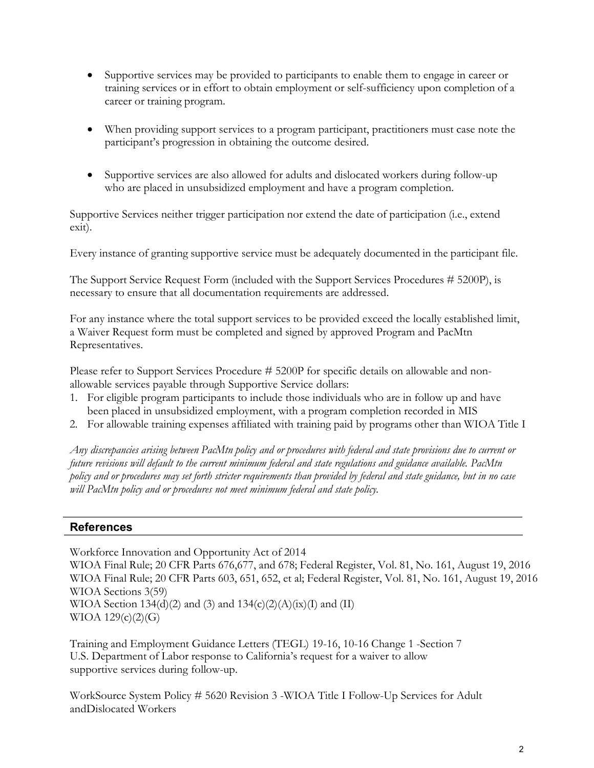- Supportive services may be provided to participants to enable them to engage in career or training services or in effort to obtain employment or self-sufficiency upon completion of a career or training program.
- When providing support services to a program participant, practitioners must case note the participant's progression in obtaining the outcome desired.
- Supportive services are also allowed for adults and dislocated workers during follow-up who are placed in unsubsidized employment and have a program completion.

Supportive Services neither trigger participation nor extend the date of participation (i.e., extend exit).

Every instance of granting supportive service must be adequately documented in the participant file.

The Support Service Request Form (included with the Support Services Procedures # 5200P), is necessary to ensure that all documentation requirements are addressed.

For any instance where the total support services to be provided exceed the locally established limit, a Waiver Request form must be completed and signed by approved Program and PacMtn Representatives.

Please refer to Support Services Procedure # 5200P for specific details on allowable and nonallowable services payable through Supportive Service dollars:

- 1. For eligible program participants to include those individuals who are in follow up and have been placed in unsubsidized employment, with a program completion recorded in MIS
- 2. For allowable training expenses affiliated with training paid by programs other than WIOA Title I

Any discrepancies arising between PacMtn policy and or procedures with federal and state provisions due to current or *future revisions will default to the current minimum federal and state regulations and guidance available. PacMtn* policy and or procedures may set forth stricter requirements than provided by federal and state guidance, but in no case *will PacMtn policy and or procedures not meet minimum federal and state policy.*

## **References**

Workforce Innovation and Opportunity Act of 2014 WIOA Final Rule; 20 CFR Parts 676,677, and 678; Federal Register, Vol. 81, No. 161, August 19, 2016 WIOA Final Rule; 20 CFR Parts 603, 651, 652, et al; Federal Register, Vol. 81, No. 161, August 19, 2016 WIOA Sections 3(59) WIOA Section 134(d)(2) and (3) and  $134(c)(2)(A)(ix)(I)$  and (II)  $WIOA 129(c)(2)(G)$ 

Training and Employment Guidance Letters (TEGL) 19-16, 10-16 Change 1 -Section 7 U.S. Department of Labor response to California's request for a waiver to allow supportive services during follow-up.

WorkSource System Policy # 5620 Revision 3 -WIOA Title I Follow-Up Services for Adult andDislocated Workers